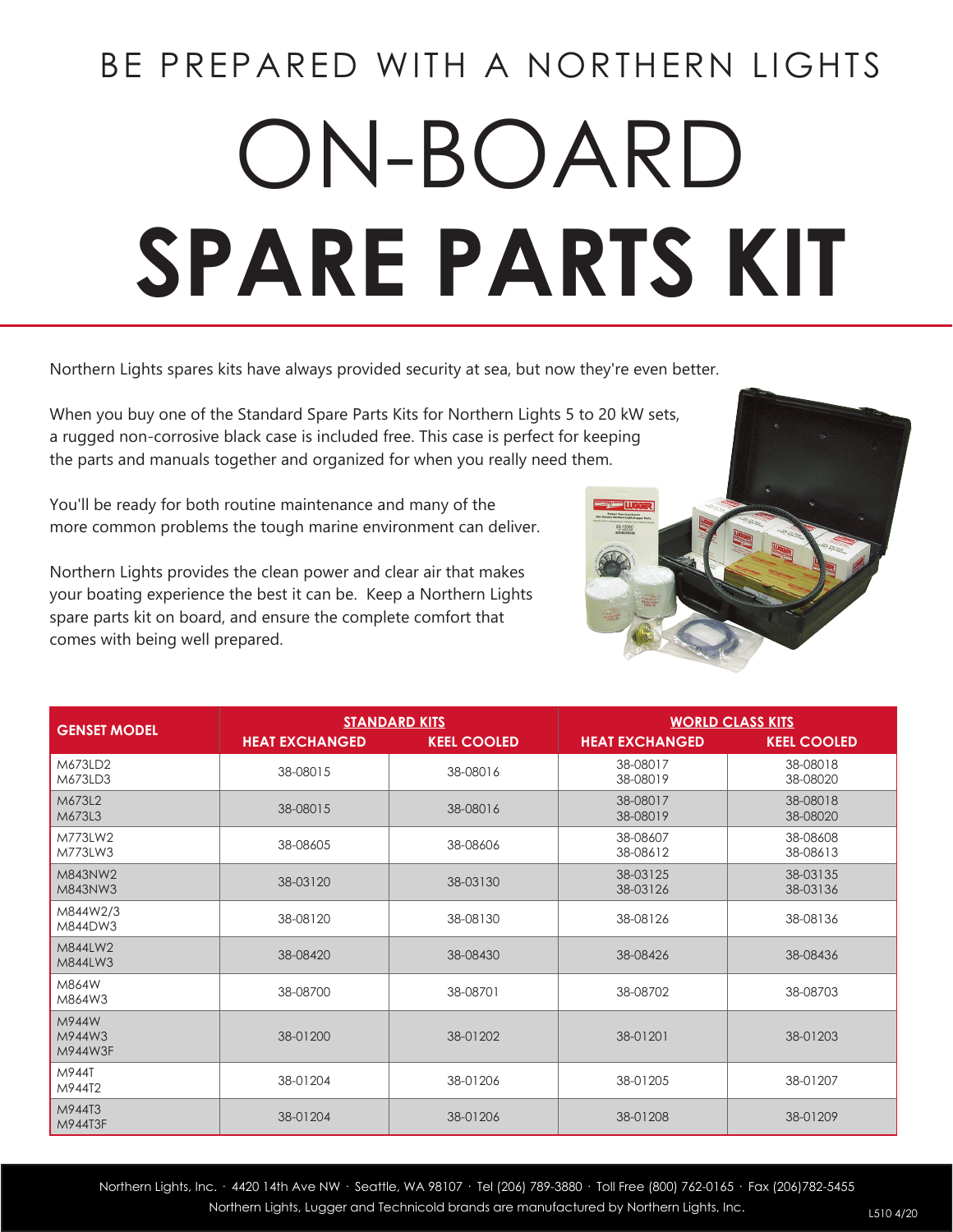# BE PREPARED WITH A NORTHERN LIGHTS ON-BOARD **SPARE PARTS KIT**

Northern Lights spares kits have always provided security at sea, but now they're even better.

When you buy one of the Standard Spare Parts Kits for Northern Lights 5 to 20 kW sets, a rugged non-corrosive black case is included free. This case is perfect for keeping the parts and manuals together and organized for when you really need them.

You'll be ready for both routine maintenance and many of the more common problems the tough marine environment can deliver.

Northern Lights provides the clean power and clear air that makes your boating experience the best it can be. Keep a Northern Lights spare parts kit on board, and ensure the complete comfort that comes with being well prepared.

| <b>GENSET MODEL</b>        | <b>STANDARD KITS</b>  |                    | <b>WORLD CLASS KITS</b> |                      |
|----------------------------|-----------------------|--------------------|-------------------------|----------------------|
|                            | <b>HEAT EXCHANGED</b> | <b>KEEL COOLED</b> | <b>HEAT EXCHANGED</b>   | <b>KEEL COOLED</b>   |
| M673LD2<br>M673LD3         | 38-08015              | 38-08016           | 38-08017<br>38-08019    | 38-08018<br>38-08020 |
| M673L2<br>M673L3           | 38-08015              | 38-08016           | 38-08017<br>38-08019    | 38-08018<br>38-08020 |
| M773LW2<br>M773LW3         | 38-08605              | 38-08606           | 38-08607<br>38-08612    | 38-08608<br>38-08613 |
| M843NW2<br>M843NW3         | 38-03120              | 38-03130           | 38-03125<br>38-03126    | 38-03135<br>38-03136 |
| M844W2/3<br>M844DW3        | 38-08120              | 38-08130           | 38-08126                | 38-08136             |
| M844LW2<br>M844LW3         | 38-08420              | 38-08430           | 38-08426                | 38-08436             |
| M864W<br>M864W3            | 38-08700              | 38-08701           | 38-08702                | 38-08703             |
| M944W<br>M944W3<br>M944W3F | 38-01200              | 38-01202           | 38-01201                | 38-01203             |
| M944T<br>M944T2            | 38-01204              | 38-01206           | 38-01205                | 38-01207             |
| M944T3<br>M944T3F          | 38-01204              | 38-01206           | 38-01208                | 38-01209             |



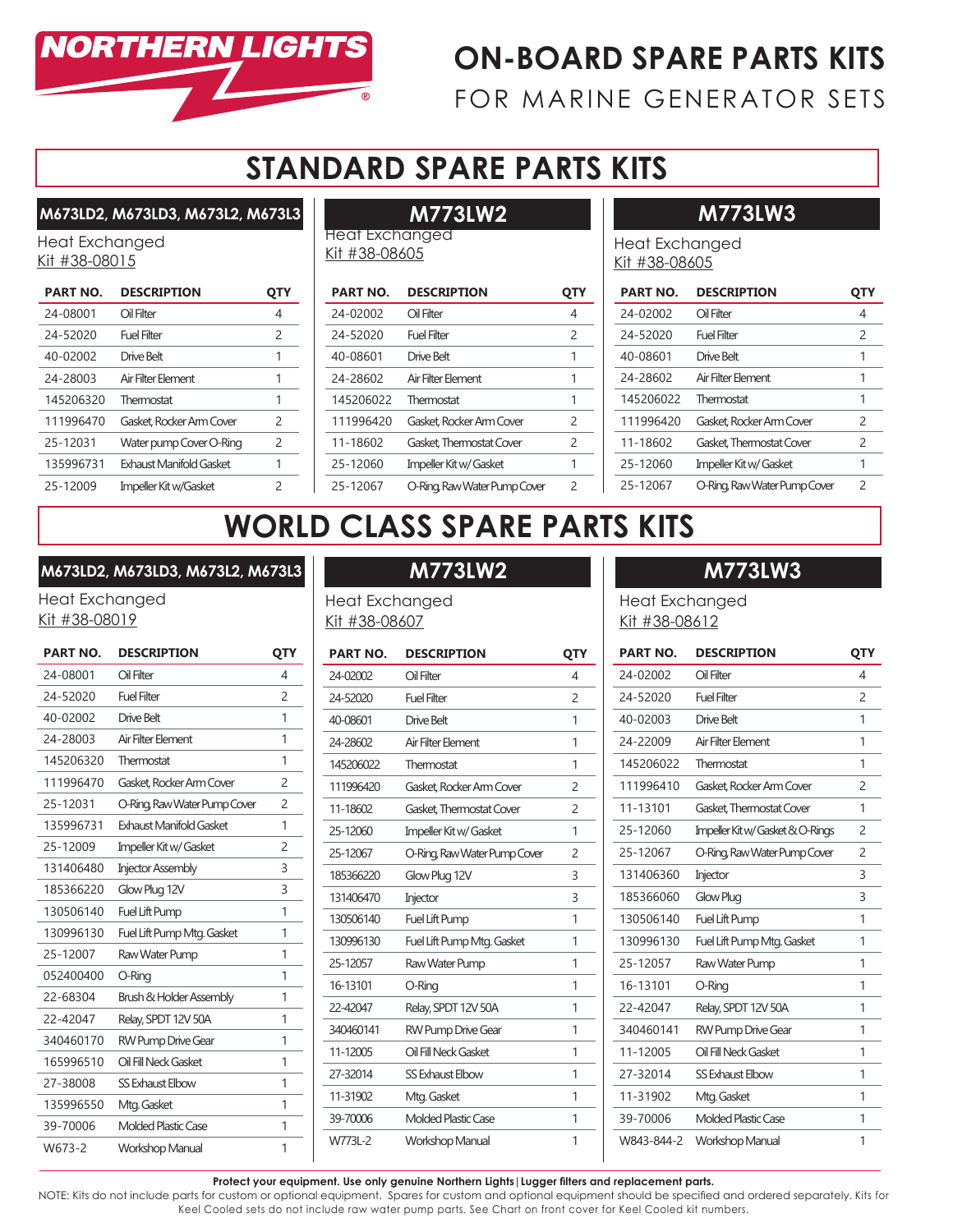

# **ON-BOARD SPARE PARTS KITS**

FOR MARINE GENERATOR SETS

# **STANDARD SPARE PARTS KITS**

**M673LD2, M673LD3, M673L2, M673L3**

Heat Exchanged Kit #38-08015

| <b>PART NO.</b> | <b>DESCRIPTION</b>       |               |
|-----------------|--------------------------|---------------|
| 24-08001        | Oil Filter               | 4             |
| 24-52020        | Fuel Filter              | $\mathcal{P}$ |
| 40-02002        | Drive Belt               |               |
| 24-28003        | Air Filter Flement       | 1             |
| 145206320       | Thermostat               | 1             |
| 111996470       | Gasket, Rocker Arm Cover | $\mathcal{P}$ |
| 25-12031        | Water pump Cover O-Ring  | $\mathcal{P}$ |
| 135996731       | Exhaust Manifold Gasket  | 1             |
| 25-12009        | Impeller Kit w/Gasket    | 2             |

# **M773LW2**

Heat Exchanged Kit #38-08605

| <b>PART NO.</b> | <b>DESCRIPTION</b>           |   |
|-----------------|------------------------------|---|
| 24-02002        | Oil Filter                   | 4 |
| 24-52020        | Fuel Filter                  | 2 |
| 40-08601        | Drive Belt                   | 1 |
| 24-28602        | Air Filter Flement           | 1 |
| 145206022       | Thermostat                   | 1 |
| 111996420       | Gasket Rocker Arm Cover      | 2 |
| 11-18602        | Gasket Thermostat Cover      | 2 |
| 25-12060        | Impeller Kit w/ Gasket       | 1 |
| 25-12067        | O-Ring, Raw Water Pump Cover | 2 |

# **M773LW3**

Heat Exchanged Kit #38-08605

| <b>PART NO.</b> | <b>DESCRIPTION</b>           |               |
|-----------------|------------------------------|---------------|
| 24-02002        | Oil Filter                   | 4             |
| 24-52020        | Fuel Filter                  | $\mathcal{P}$ |
| 40-08601        | Drive Belt                   | 1             |
| 24-28602        | Air Filter Flement           | 1             |
| 145206022       | Thermostat                   | 1             |
| 111996420       | Gasket Rocker Arm Cover      | 2             |
| 11-18602        | Gasket Thermostat Cover      | 2             |
| 25-12060        | Impeller Kit w/ Gasket       | 1             |
| 25-12067        | O-Ring, Raw Water Pump Cover | 2             |

# **WORLD CLASS SPARE PARTS KITS**

### **M673LD2, M673LD3, M673L2, M673L3**

Heat Exchanged Kit #38-08019

| <b>PART NO.</b> | <b>DESCRIPTION</b>                 | QTY            |
|-----------------|------------------------------------|----------------|
| 24-08001        | Oil Filter                         | $\overline{4}$ |
| 24-52020        | <b>Fuel Filter</b>                 | $\overline{c}$ |
| 40-02002        | <b>Drive Belt</b>                  | 1              |
| 24-28003        | Air Filter Element                 | 1              |
| 145206320       | Thermostat                         | 1              |
| 111996470       | Gasket, Rocker Arm Cover           | 2              |
| 25-12031        | O-Ring, Raw Water Pump Cover       | 2              |
| 135996731       | <b>Exhaust Manifold Gasket</b>     | 1              |
| 25-12009        | Impeller Kit w/ Gasket             | $\overline{c}$ |
| 131406480       | <b>Injector Assembly</b>           | 3              |
| 185366220       | Glow Plug 12V                      | 3              |
| 130506140       | Fuel Lift Pump                     | 1              |
| 130996130       | Fuel Lift Pump Mtg. Gasket         | 1              |
| 25-12007        | Raw Water Pump                     | 1              |
| 052400400       | O-Ring                             | 1              |
| 22-68304        | <b>Brush &amp; Holder Assembly</b> | 1              |
| 22-42047        | Relay, SPDT 12V 50A                | 1              |
| 340460170       | <b>RW Pump Drive Gear</b>          | 1              |
| 165996510       | Oil Fill Neck Gasket               | 1              |
| 27-38008        | <b>SS Exhaust Elbow</b>            | 1              |
| 135996550       | Mtg. Gasket                        | 1              |
| 39-70006        | <b>Molded Plastic Case</b>         | 1              |
| W673-2          | <b>Workshop Manual</b>             | 1              |

# **M773LW2**

Heat Exchanged Kit #38-08607

| <b>PART NO.</b> | <b>DESCRIPTION</b>           | QTY            |
|-----------------|------------------------------|----------------|
| 24-02002        | Oil Filter                   | 4              |
| 24-52020        | <b>Fuel Filter</b>           | $\mathcal{P}$  |
| 40-08601        | Drive Belt                   | 1              |
| 24-28602        | Air Filter Element           | 1              |
| 145206022       | Thermostat                   | 1              |
| 111996420       | Gasket, Rocker Arm Cover     | 2              |
| 11-18602        | Gasket, Thermostat Cover     | $\mathcal{P}$  |
| 25-12060        | Impeller Kit w/ Gasket       | 1              |
| 25-12067        | O-Ring, Raw Water Pump Cover | $\overline{c}$ |
| 185366220       | Glow Plug 12V                | 3              |
| 131406470       | Injector                     | 3              |
| 130506140       | Fuel Lift Pump               | 1              |
| 130996130       | Fuel Lift Pump Mtg. Gasket   | 1              |
| 25-12057        | Raw Water Pump               | 1              |
| 16-13101        | O-Ring                       | 1              |
| 22-42047        | Relay, SPDT 12V 50A          | 1              |
| 340460141       | <b>RW Pump Drive Gear</b>    | 1              |
| 11-12005        | Oil Fill Neck Gasket         | 1              |
| 27-32014        | <b>SS Exhaust Elbow</b>      | 1              |
| 11-31902        | Mtg. Gasket                  | 1              |
| 39-70006        | <b>Molded Plastic Case</b>   | 1              |
| W773L-2         | <b>Workshop Manual</b>       | 1              |

# **M773LW3**

Heat Exchanged Kit #38-08612

| <b>PART NO.</b> | <b>DESCRIPTION</b>               | QTY            |
|-----------------|----------------------------------|----------------|
| 24-02002        | Oil Filter                       | 4              |
| 24-52020        | <b>Fuel Filter</b>               | $\overline{c}$ |
| 40-02003        | Drive Belt                       | 1              |
| 24-22009        | Air Filter Element               | 1              |
| 145206022       | Thermostat                       | 1              |
| 111996410       | Gasket Rocker Arm Cover          | $\overline{c}$ |
| 11-13101        | Gasket, Thermostat Cover         | 1              |
| 25-12060        | Impeller Kit w/ Gasket & O-Rings | $\overline{c}$ |
| 25-12067        | O-Ring, Raw Water Pump Cover     | $\overline{c}$ |
| 131406360       | Injector                         | 3              |
| 185366060       | Glow Plug                        | 3              |
| 130506140       | Fuel Lift Pump                   | 1              |
| 130996130       | Fuel Lift Pump Mtg. Gasket       | 1              |
| 25-12057        | Raw Water Pump                   | 1              |
| 16-13101        | O-Ring                           | 1              |
| 22-42047        | Relay, SPDT 12V 50A              | 1              |
| 340460141       | RW Pump Drive Gear               | 1              |
| 11-12005        | Oil Fill Neck Gasket             | 1              |
| 27-32014        | <b>SS Exhaust Elbow</b>          | 1              |
| 11-31902        | Mtg. Gasket                      | 1              |
| 39-70006        | <b>Molded Plastic Case</b>       | 1              |
| W843-844-2      | <b>Workshop Manual</b>           | 1              |
|                 |                                  |                |

**Protect your equipment. Use only genuine Northern Lights|Lugger filters and replacement parts.**

NOTE: Kits do not include parts for custom or optional equipment. Spares for custom and optional equipment should be specified and ordered separately. Kits for Keel Cooled sets do not include raw water pump parts. See Chart on front cover for Keel Cooled kit numbers.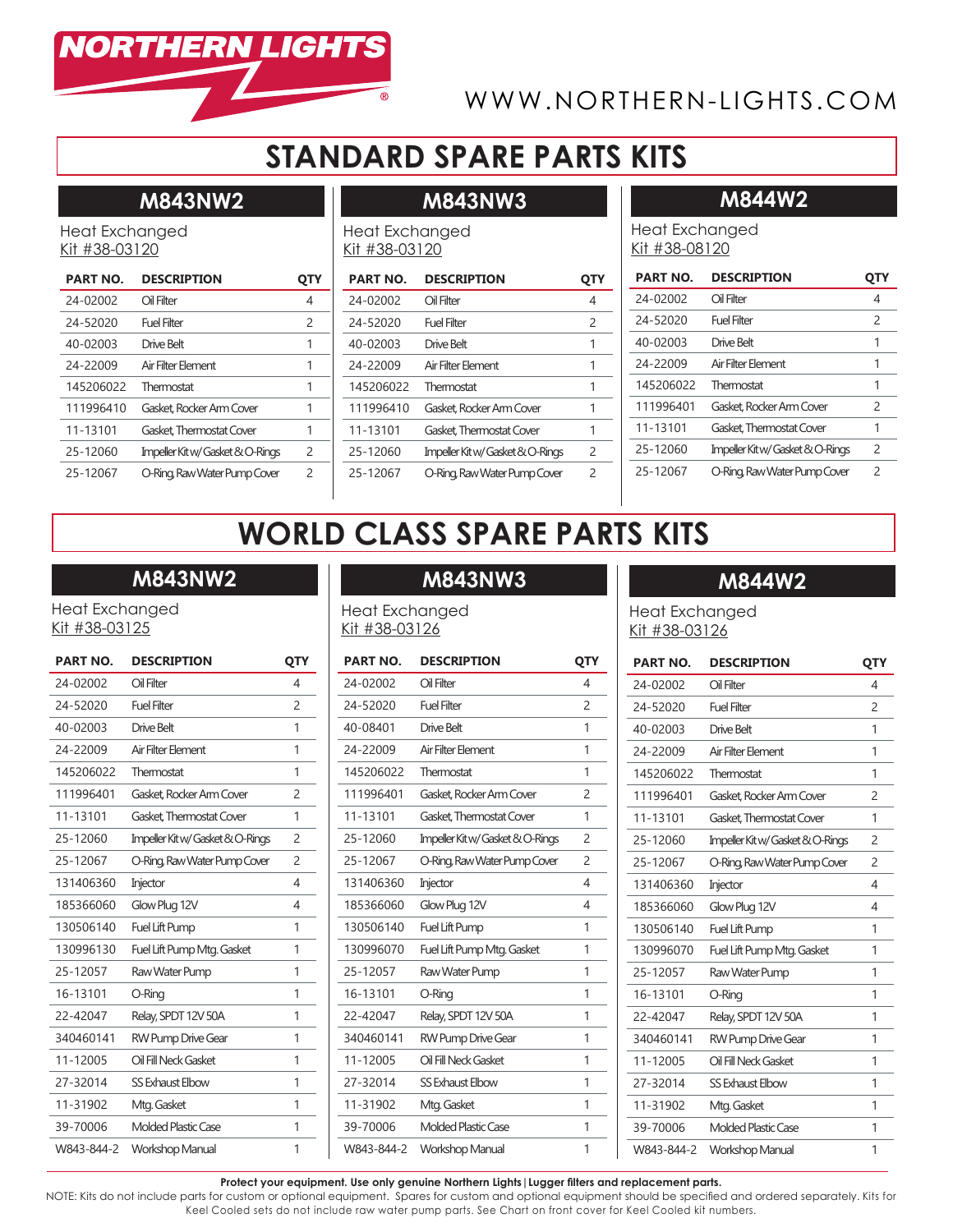

# WWW.NORTHERN-LIGHTS.COM

Heat Exchanged Kit #38-08120

# **STANDARD SPARE PARTS KITS**

**M843NW3**

# **M843NW2**

Heat Exchanged Kit #38-03120

| <b>PART NO.</b> | <b>DESCRIPTION</b>               | QTY           |
|-----------------|----------------------------------|---------------|
| 24-02002        | Oil Filter                       | 4             |
| 24-52020        | Fuel Filter                      | $\mathcal{P}$ |
| 40-02003        | Drive Belt                       | 1             |
| 24-22009        | Air Filter Flement               | 1             |
| 145206022       | Thermostat                       | 1             |
| 111996410       | Gasket Rocker Arm Cover          | 1             |
| 11-13101        | Gasket Thermostat Cover          | 1             |
| 25-12060        | Impeller Kit w/ Gasket & O-Rings | 2             |
| 25-12067        | O-Ring, Raw Water Pump Cover     | 2             |

### Heat Exchanged Kit #38-03120

| <b>PART NO.</b> | <b>DESCRIPTION</b>               | UIY           |
|-----------------|----------------------------------|---------------|
| 24-02002        | Oil Filter                       | 4             |
| 24-52020        | Fuel Filter                      | $\mathcal{P}$ |
| 40-02003        | Drive Belt                       | 1             |
| 24-22009        | Air Filter Flement               | 1             |
| 145206022       | Thermostat                       | 1             |
| 111996410       | Gasket Rocker Arm Cover          | 1             |
| 11-13101        | Gasket, Thermostat Cover         | 1             |
| 25-12060        | Impeller Kit w/ Gasket & O-Rings | $\mathcal{L}$ |
| 25-12067        | O-Ring, Raw Water Pump Cover     | 2             |

### **M844W2**

### **PART NO. DESCRIPTION QTY** 24-02002 Oil Filter 4 24-52020 Fuel Filter 2 40-02003 Drive Belt 1 24-22009 Air Filter Element 1 145206022 Thermostat 1 111996401 Gasket, Rocker Arm Cover 2 11-13101 Gasket Thermostat Cover 1 25-12060 Impeller Kit w/ Gasket & O-Rings 2 25-12067 O-Ring, Raw Water Pump Cover 2

# **WORLD CLASS SPARE PARTS KITS**

# **M843NW2**

Heat Exchanged Kit #38-03125

| <b>PART NO.</b> | <b>DESCRIPTION</b>               | QTY            |
|-----------------|----------------------------------|----------------|
| 24-02002        | Oil Filter                       | 4              |
| 24-52020        | <b>Fuel Filter</b>               | $\mathcal{P}$  |
| 40-02003        | Drive Belt                       | 1              |
| 24-22009        | Air Filter Element               | 1              |
| 145206022       | Thermostat                       | 1              |
| 111996401       | Gasket, Rocker Arm Cover         | 2              |
| 11-13101        | Gasket Thermostat Cover          | 1              |
| 25-12060        | Impeller Kit w/ Gasket & O-Rings | $\overline{c}$ |
| 25-12067        | O-Ring, Raw Water Pump Cover     | 2              |
| 131406360       | Injector                         | 4              |
| 185366060       | Glow Plug 12V                    | 4              |
| 130506140       | <b>Fuel Lift Pump</b>            | 1              |
| 130996130       | Fuel Lift Pump Mtg. Gasket       | 1              |
| 25-12057        | Raw Water Pump                   | 1              |
| 16-13101        | O-Ring                           | 1              |
| 22-42047        | Relay, SPDT 12V 50A              | 1              |
| 340460141       | <b>RW Pump Drive Gear</b>        | 1              |
| 11-12005        | Oil Fill Neck Gasket             | 1              |
| 27-32014        | <b>SS Exhaust Elbow</b>          | 1              |
| 11-31902        | Mtg. Gasket                      | 1              |
| 39-70006        | <b>Molded Plastic Case</b>       | 1              |
| W843-844-2      | <b>Workshop Manual</b>           | 1              |

# **M843NW3**

Heat Exchanged Kit #38-03126

| <b>PART NO.</b> | <b>DESCRIPTION</b>               | QTY            |
|-----------------|----------------------------------|----------------|
| 24-02002        | Oil Filter                       | $\overline{4}$ |
| 24-52020        | <b>Fuel Filter</b>               | $\overline{c}$ |
| 40-08401        | <b>Drive Belt</b>                | 1              |
| 24-22009        | Air Filter Element               | 1              |
| 145206022       | Thermostat                       | 1              |
| 111996401       | Gasket Rocker Arm Cover          | 2              |
| 11-13101        | Gasket Thermostat Cover          | 1              |
| 25-12060        | Impeller Kit w/ Gasket & O-Rings | 2              |
| 25-12067        | O-Ring, Raw Water Pump Cover     | $\overline{c}$ |
| 131406360       | Injector                         | 4              |
| 185366060       | Glow Plug 12V                    | 4              |
| 130506140       | Fuel Lift Pump                   | 1              |
| 130996070       | Fuel Lift Pump Mtg. Gasket       | 1              |
| 25-12057        | Raw Water Pump                   | 1              |
| 16-13101        | O-Ring                           | 1              |
| 22-42047        | Relay, SPDT 12V 50A              | 1              |
| 340460141       | <b>RW Pump Drive Gear</b>        | 1              |
| 11-12005        | Oil Fill Neck Gasket             | 1              |
| 27-32014        | <b>SS Exhaust Elbow</b>          | 1              |
| 11-31902        | Mtg. Gasket                      | 1              |
| 39-70006        | <b>Molded Plastic Case</b>       | 1              |
| W843-844-2      | <b>Workshop Manual</b>           | 1              |

### **M844W2**

Heat Exchanged Kit #38-03126

| <b>PART NO.</b> | <b>DESCRIPTION</b>               | QTY            |
|-----------------|----------------------------------|----------------|
| 24-02002        | Oil Filter                       | 4              |
| 24-52020        | <b>Fuel Filter</b>               | 2              |
| 40-02003        | Drive Belt                       | 1              |
| 24-22009        | Air Filter Element               | 1              |
| 145206022       | Thermostat                       | 1              |
| 111996401       | Gasket Rocker Arm Cover          | 2              |
| 11-13101        | Gasket Thermostat Cover          | 1              |
| 25-12060        | Impeller Kit w/ Gasket & O-Rings | 2              |
| 25-12067        | O-Ring, Raw Water Pump Cover     | $\overline{c}$ |
| 131406360       | Injector                         | 4              |
| 185366060       | Glow Plug 12V                    | 4              |
| 130506140       | Fuel Lift Pump                   | 1              |
| 130996070       | Fuel Lift Pump Mtg. Gasket       | 1              |
| 25-12057        | Raw Water Pump                   | 1              |
| 16-13101        | O-Ring                           | 1              |
| 22-42047        | Relay, SPDT 12V 50A              | 1              |
| 340460141       | RW Pump Drive Gear               | 1              |
| 11-12005        | Oil Fill Neck Gasket             | 1              |
| 27-32014        | SS Exhaust Elbow                 | 1              |
| 11-31902        | Mtg. Gasket                      | 1              |
| 39-70006        | <b>Molded Plastic Case</b>       | 1              |
| W843-844-2      | <b>Workshop Manual</b>           | 1              |
|                 |                                  |                |

### **Protect your equipment. Use only genuine Northern Lights|Lugger filters and replacement parts.**

NOTE: Kits do not include parts for custom or optional equipment. Spares for custom and optional equipment should be specified and ordered separately. Kits for Keel Cooled sets do not include raw water pump parts. See Chart on front cover for Keel Cooled kit numbers.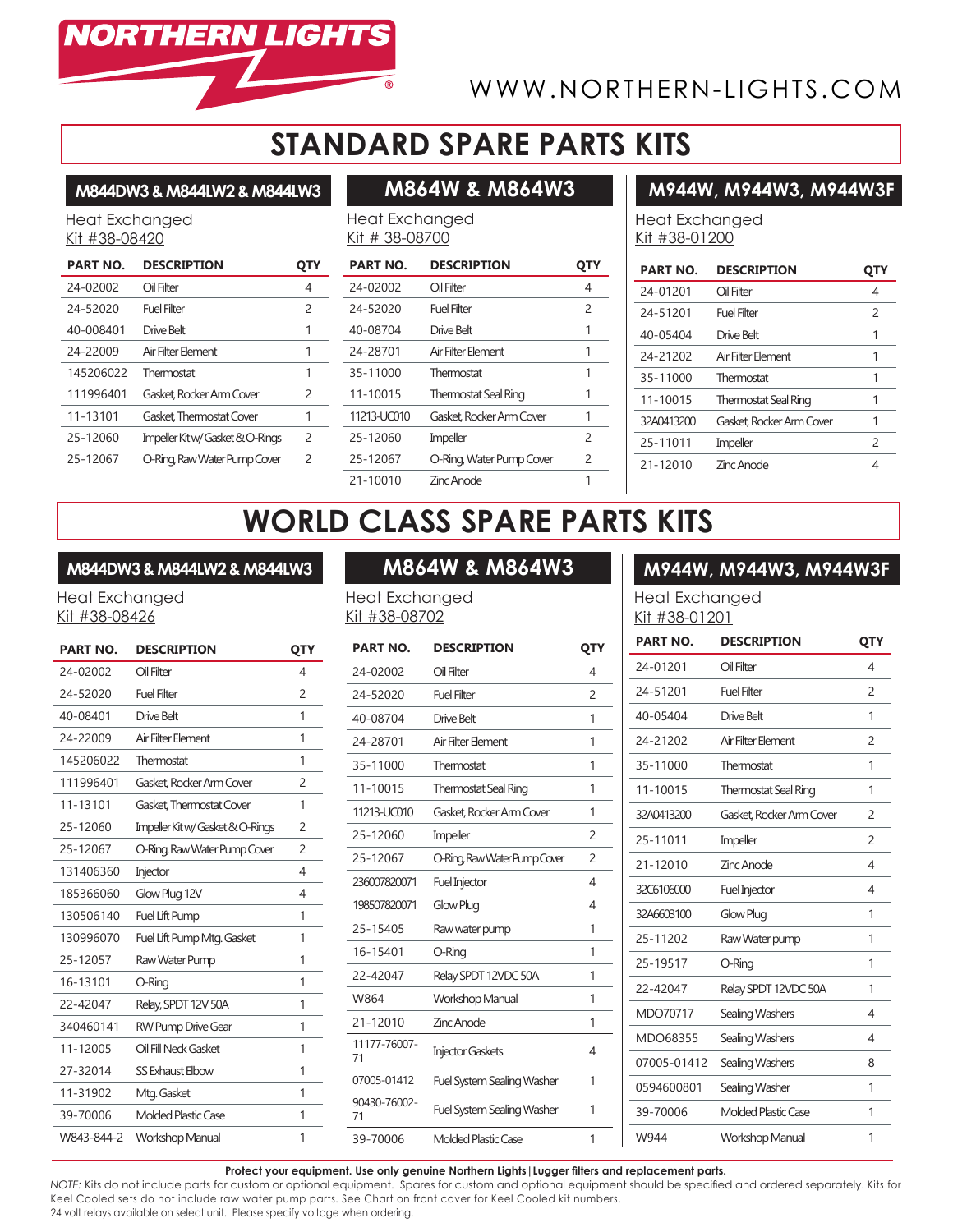

# WWW.NORTHERN-LIGHTS.COM

# **STANDARD SPARE PARTS KITS**

### **M844DW3 & M844LW2 & M844LW3**

Heat Exchanged Kit #38-08420

| <b>PART NO.</b> | <b>DESCRIPTION</b>               | OIY           |
|-----------------|----------------------------------|---------------|
| 24-02002        | Oil Filter                       | 4             |
| 24-52020        | Fuel Filter                      | 2             |
| 40-008401       | Drive Belt                       | 1             |
| 24-22009        | Air Filter Flement               | 1             |
| 145206022       | Thermostat                       | 1             |
| 111996401       | Gasket Rocker Arm Cover          | 2             |
| 11-13101        | Gasket Thermostat Cover          | 1             |
| 25-12060        | Impeller Kit w/ Gasket & O-Rings | $\mathcal{P}$ |
| 25-12067        | O-Ring, Raw Water Pump Cover     | $\mathcal{P}$ |

# **M864W & M864W3**

### **M944W, M944W3, M944W3F**

Heat Exchanged Kit # 38-08700

| <b>PART NO.</b> | <b>DESCRIPTION</b>          |               |
|-----------------|-----------------------------|---------------|
| 24-02002        | Oil Filter                  | 4             |
| 24-52020        | Fuel Filter                 | 2             |
| 40-08704        | Drive Belt                  | 1             |
| 24-28701        | Air Filter Element          | 1             |
| 35-11000        | Thermostat                  | 1             |
| 11-10015        | <b>Thermostat Seal Ring</b> | 1             |
| 11213-UC010     | Gasket, Rocker Arm Cover    | 1             |
| 25-12060        | Impeller                    | $\mathcal{P}$ |
| 25-12067        | O-Ring, Water Pump Cover    | $\mathcal{P}$ |
| 21-10010        | <b>Zinc Anode</b>           |               |

Heat Exchanged Kit #38-01200

| <b>PART NO.</b> | <b>DESCRIPTION</b>          | UIY           |
|-----------------|-----------------------------|---------------|
| 24-01201        | Oil Filter                  | 4             |
| 24-51201        | Fuel Filter                 | $\mathcal{P}$ |
| 40-05404        | Drive Belt                  | 1             |
| 24-21202        | Air Filter Flement          | 1             |
| 35-11000        | Thermostat                  | 1             |
| 11-10015        | <b>Thermostat Seal Ring</b> | 1             |
| 32A0413200      | Gasket, Rocker Arm Cover    | 1             |
| 25-11011        | Impeller                    | $\mathcal{P}$ |
| 21-12010        | <b>Zinc Anode</b>           | 4             |

# **WORLD CLASS SPARE PARTS KITS**

### **M844DW3 & M844LW2 & M844LW3**

Heat Exchanged Kit #38-08426

| <b>PART NO.</b> | <b>DESCRIPTION</b>               | QTY            |
|-----------------|----------------------------------|----------------|
| 24-02002        | Oil Filter                       | 4              |
| 24-52020        | <b>Fuel Filter</b>               | $\mathcal{P}$  |
| 40-08401        | Drive Belt                       | 1              |
| 24-22009        | Air Filter Flement               | 1              |
| 145206022       | Thermostat                       | 1              |
| 111996401       | Gasket, Rocker Arm Cover         | 2              |
| 11-13101        | Gasket, Thermostat Cover         | 1              |
| 25-12060        | Impeller Kit w/ Gasket & O-Rings | $\mathcal{P}$  |
| 25-12067        | O-Ring, Raw Water Pump Cover     | $\overline{c}$ |
| 131406360       | Injector                         | 4              |
| 185366060       | Glow Plug 12V                    | 4              |
| 130506140       | Fuel Lift Pump                   | 1              |
| 130996070       | Fuel Lift Pump Mtg. Gasket       | 1              |
| 25-12057        | Raw Water Pump                   | 1              |
| 16-13101        | O-Ring                           | 1              |
| 22-42047        | Relay, SPDT 12V 50A              | 1              |
| 340460141       | <b>RW Pump Drive Gear</b>        | 1              |
| 11-12005        | Oil Fill Neck Gasket             | 1              |
| 27-32014        | SS Exhaust Elbow                 | 1              |
| 11-31902        | Mtg. Gasket                      | 1              |
| 39-70006        | <b>Molded Plastic Case</b>       | 1              |
| W843-844-2      | <b>Workshop Manual</b>           | 1              |

# **M864W & M864W3**

Heat Exchanged Kit #38-08702

| <b>PART NO.</b>    | <b>DESCRIPTION</b>                | QTY            |
|--------------------|-----------------------------------|----------------|
| 24-02002           | Oil Filter                        | 4              |
| 24-52020           | Fuel Filter                       | $\overline{c}$ |
| 40-08704           | Drive Belt                        | 1              |
| 24-28701           | Air Filter Element                | 1              |
| 35-11000           | Thermostat                        | 1              |
| 11-10015           | <b>Thermostat Seal Ring</b>       | 1              |
| 11213-UC010        | Gasket, Rocker Arm Cover          | 1              |
| 25-12060           | Impeller                          | $\overline{c}$ |
| 25-12067           | O-Ring, Raw Water Pump Cover      | $\overline{c}$ |
| 236007820071       | <b>Fuel Injector</b>              | 4              |
| 198507820071       | Glow Plug                         | 4              |
| 25-15405           | Raw water pump                    | 1              |
| 16-15401           | O-Ring                            | 1              |
| 22-42047           | Relay SPDT 12VDC 50A              | 1              |
| W864               | <b>Workshop Manual</b>            | 1              |
| 21-12010           | Zinc Anode                        | 1              |
| 11177-76007-<br>71 | <b>Injector Gaskets</b>           | 4              |
| 07005-01412        | <b>Fuel System Sealing Washer</b> | 1              |
| 90430-76002-<br>71 | <b>Fuel System Sealing Washer</b> | 1              |
| 39-70006           | <b>Molded Plastic Case</b>        | 1              |

### **M944W, M944W3, M944W3F**

Heat Exchanged Kit #38-01201

| <b>PART NO.</b> | <b>DESCRIPTION</b>          | QTY            |
|-----------------|-----------------------------|----------------|
| 24-01201        | Oil Filter                  | 4              |
| 24-51201        | Fuel Filter                 | $\overline{c}$ |
| 40-05404        | Drive Belt                  | 1              |
| 24-21202        | Air Filter Element          | $\overline{c}$ |
| 35-11000        | Thermostat                  | 1              |
| 11-10015        | <b>Thermostat Seal Ring</b> | 1              |
| 32A0413200      | Gasket Rocker Arm Cover     | $\overline{c}$ |
| 25-11011        | Impeller                    | $\overline{c}$ |
| 21-12010        | Zinc Anode                  | 4              |
| 32C6106000      | <b>Fuel Injector</b>        | 4              |
| 32A6603100      | Glow Plug                   | 1              |
| 25-11202        | Raw Water pump              | 1              |
| 25-19517        | O-Ring                      | 1              |
| 22-42047        | Relay SPDT 12VDC 50A        | 1              |
| MDO70717        | Sealing Washers             | 4              |
| MDO68355        | Sealing Washers             | 4              |
| 07005-01412     | Sealing Washers             | 8              |
| 0594600801      | Sealing Washer              | 1              |
| 39-70006        | Molded Plastic Case         | 1              |
| W944            | Workshop Manual             | 1              |

**Protect your equipment. Use only genuine Northern Lights|Lugger filters and replacement parts.**

*NOTE:* Kits do not include parts for custom or optional equipment. Spares for custom and optional equipment should be specified and ordered separately. Kits for Keel Cooled sets do not include raw water pump parts. See Chart on front cover for Keel Cooled kit numbers. 24 volt relays available on select unit. Please specify voltage when ordering.